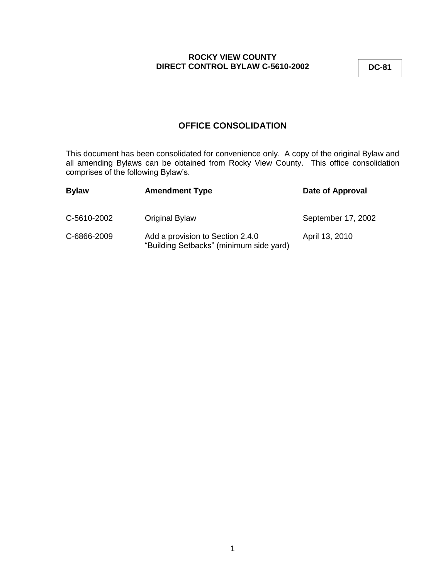**DC-81**

# **OFFICE CONSOLIDATION**

This document has been consolidated for convenience only. A copy of the original Bylaw and all amending Bylaws can be obtained from Rocky View County. This office consolidation comprises of the following Bylaw's.

| <b>Bylaw</b> | <b>Amendment Type</b>                                                       | Date of Approval   |
|--------------|-----------------------------------------------------------------------------|--------------------|
| C-5610-2002  | Original Bylaw                                                              | September 17, 2002 |
| C-6866-2009  | Add a provision to Section 2.4.0<br>"Building Setbacks" (minimum side yard) | April 13, 2010     |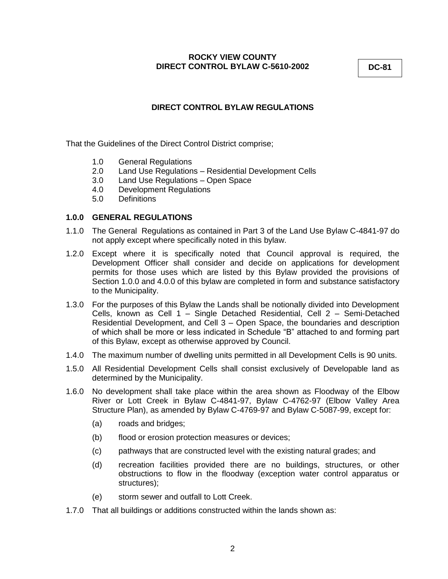**DC-81**

# **DIRECT CONTROL BYLAW REGULATIONS**

That the Guidelines of the Direct Control District comprise;

- 1.0 General Regulations
- 2.0 Land Use Regulations Residential Development Cells
- 3.0 Land Use Regulations Open Space
- 4.0 Development Regulations
- 5.0 Definitions

# **1.0.0 GENERAL REGULATIONS**

- 1.1.0 The General Regulations as contained in Part 3 of the Land Use Bylaw C-4841-97 do not apply except where specifically noted in this bylaw.
- 1.2.0 Except where it is specifically noted that Council approval is required, the Development Officer shall consider and decide on applications for development permits for those uses which are listed by this Bylaw provided the provisions of Section 1.0.0 and 4.0.0 of this bylaw are completed in form and substance satisfactory to the Municipality.
- 1.3.0 For the purposes of this Bylaw the Lands shall be notionally divided into Development Cells, known as Cell 1 – Single Detached Residential, Cell 2 – Semi-Detached Residential Development, and Cell 3 – Open Space, the boundaries and description of which shall be more or less indicated in Schedule "B" attached to and forming part of this Bylaw, except as otherwise approved by Council.
- 1.4.0 The maximum number of dwelling units permitted in all Development Cells is 90 units.
- 1.5.0 All Residential Development Cells shall consist exclusively of Developable land as determined by the Municipality.
- 1.6.0 No development shall take place within the area shown as Floodway of the Elbow River or Lott Creek in Bylaw C-4841-97, Bylaw C-4762-97 (Elbow Valley Area Structure Plan), as amended by Bylaw C-4769-97 and Bylaw C-5087-99, except for:
	- (a) roads and bridges;
	- (b) flood or erosion protection measures or devices;
	- (c) pathways that are constructed level with the existing natural grades; and
	- (d) recreation facilities provided there are no buildings, structures, or other obstructions to flow in the floodway (exception water control apparatus or structures);
	- (e) storm sewer and outfall to Lott Creek.
- 1.7.0 That all buildings or additions constructed within the lands shown as: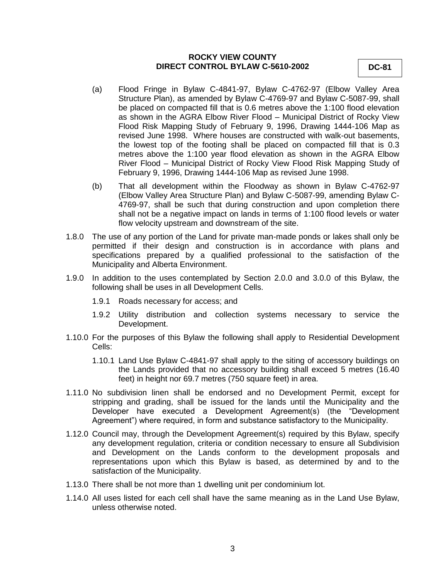**DC-81**

- (a) Flood Fringe in Bylaw C-4841-97, Bylaw C-4762-97 (Elbow Valley Area Structure Plan), as amended by Bylaw C-4769-97 and Bylaw C-5087-99, shall be placed on compacted fill that is 0.6 metres above the 1:100 flood elevation as shown in the AGRA Elbow River Flood – Municipal District of Rocky View Flood Risk Mapping Study of February 9, 1996, Drawing 1444-106 Map as revised June 1998. Where houses are constructed with walk-out basements, the lowest top of the footing shall be placed on compacted fill that is 0.3 metres above the 1:100 year flood elevation as shown in the AGRA Elbow River Flood – Municipal District of Rocky View Flood Risk Mapping Study of February 9, 1996, Drawing 1444-106 Map as revised June 1998.
- (b) That all development within the Floodway as shown in Bylaw C-4762-97 (Elbow Valley Area Structure Plan) and Bylaw C-5087-99, amending Bylaw C-4769-97, shall be such that during construction and upon completion there shall not be a negative impact on lands in terms of 1:100 flood levels or water flow velocity upstream and downstream of the site.
- 1.8.0 The use of any portion of the Land for private man-made ponds or lakes shall only be permitted if their design and construction is in accordance with plans and specifications prepared by a qualified professional to the satisfaction of the Municipality and Alberta Environment.
- 1.9.0 In addition to the uses contemplated by Section 2.0.0 and 3.0.0 of this Bylaw, the following shall be uses in all Development Cells.
	- 1.9.1 Roads necessary for access; and
	- 1.9.2 Utility distribution and collection systems necessary to service the Development.
- 1.10.0 For the purposes of this Bylaw the following shall apply to Residential Development Cells:
	- 1.10.1 Land Use Bylaw C-4841-97 shall apply to the siting of accessory buildings on the Lands provided that no accessory building shall exceed 5 metres (16.40 feet) in height nor 69.7 metres (750 square feet) in area.
- 1.11.0 No subdivision linen shall be endorsed and no Development Permit, except for stripping and grading, shall be issued for the lands until the Municipality and the Developer have executed a Development Agreement(s) (the "Development Agreement") where required, in form and substance satisfactory to the Municipality.
- 1.12.0 Council may, through the Development Agreement(s) required by this Bylaw, specify any development regulation, criteria or condition necessary to ensure all Subdivision and Development on the Lands conform to the development proposals and representations upon which this Bylaw is based, as determined by and to the satisfaction of the Municipality.
- 1.13.0 There shall be not more than 1 dwelling unit per condominium lot.
- 1.14.0 All uses listed for each cell shall have the same meaning as in the Land Use Bylaw, unless otherwise noted.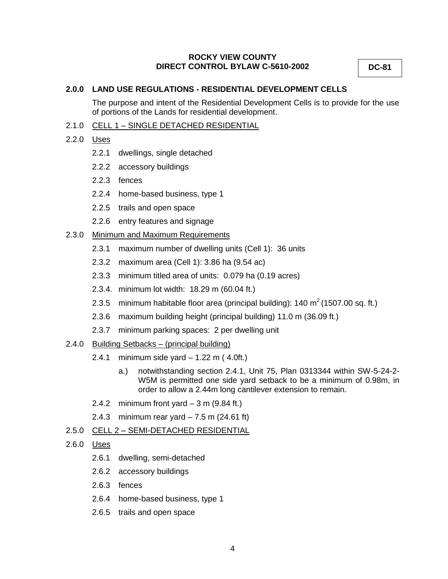**DC-81**

## **2.0.0 LAND USE REGULATIONS - RESIDENTIAL DEVELOPMENT CELLS**

The purpose and intent of the Residential Development Cells is to provide for the use of portions of the Lands for residential development.

## 2.1.0 CELL 1 – SINGLE DETACHED RESIDENTIAL

- 2.2.0 Uses
	- 2.2.1 dwellings, single detached
	- 2.2.2 accessory buildings
	- 2.2.3 fences
	- 2.2.4 home-based business, type 1
	- 2.2.5 trails and open space
	- 2.2.6 entry features and signage

## 2.3.0 Minimum and Maximum Requirements

- 2.3.1 maximum number of dwelling units (Cell 1): 36 units
- 2.3.2 maximum area (Cell 1): 3.86 ha (9.54 ac)
- 2.3.3 minimum titled area of units: 0.079 ha (0.19 acres)
- 2.3.4. minimum lot width: 18.29 m (60.04 ft.)
- 2.3.5 minimum habitable floor area (principal building):  $140 \text{ m}^2$  (1507.00 sq. ft.)
- 2.3.6 maximum building height (principal building) 11.0 m (36.09 ft.)
- 2.3.7 minimum parking spaces: 2 per dwelling unit
- 2.4.0 Building Setbacks (principal building)
	- 2.4.1 minimum side yard 1.22 m ( 4.0ft.)
		- a.) notwithstanding section 2.4.1, Unit 75, Plan 0313344 within SW-5-24-2- W5M is permitted one side yard setback to be a minimum of 0.98m, in order to allow a 2.44m long cantilever extension to remain.
	- 2.4.2 minimum front yard  $-3$  m (9.84 ft.)
	- 2.4.3 minimum rear yard 7.5 m (24.61 ft)
- 2.5.0 CELL 2 SEMI-DETACHED RESIDENTIAL
- 2.6.0 Uses
	- 2.6.1 dwelling, semi-detached
	- 2.6.2 accessory buildings
	- 2.6.3 fences
	- 2.6.4 home-based business, type 1
	- 2.6.5 trails and open space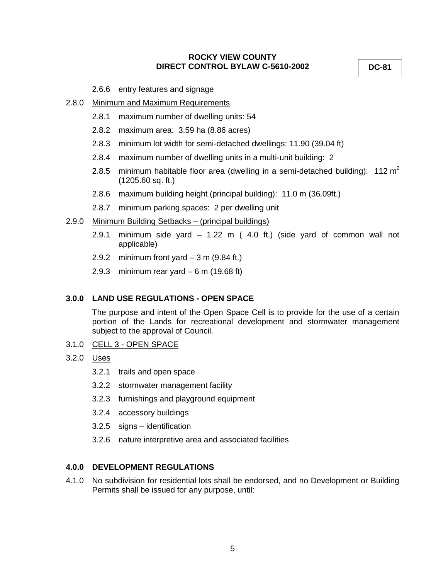**DC-81**

2.6.6 entry features and signage

# 2.8.0 Minimum and Maximum Requirements

- 2.8.1 maximum number of dwelling units: 54
- 2.8.2 maximum area: 3.59 ha (8.86 acres)
- 2.8.3 minimum lot width for semi-detached dwellings: 11.90 (39.04 ft)
- 2.8.4 maximum number of dwelling units in a multi-unit building: 2
- 2.8.5 minimum habitable floor area (dwelling in a semi-detached building): 112 m<sup>2</sup> (1205.60 sq. ft.)
- 2.8.6 maximum building height (principal building): 11.0 m (36.09ft.)
- 2.8.7 minimum parking spaces: 2 per dwelling unit

## 2.9.0 Minimum Building Setbacks – (principal buildings)

- 2.9.1 minimum side yard 1.22 m ( 4.0 ft.) (side yard of common wall not applicable)
- 2.9.2 minimum front yard  $-3$  m (9.84 ft.)
- 2.9.3 minimum rear yard  $-6$  m (19.68 ft)

# **3.0.0 LAND USE REGULATIONS - OPEN SPACE**

The purpose and intent of the Open Space Cell is to provide for the use of a certain portion of the Lands for recreational development and stormwater management subject to the approval of Council.

- 3.1.0 CELL 3 OPEN SPACE
- 3.2.0 Uses
	- 3.2.1 trails and open space
	- 3.2.2 stormwater management facility
	- 3.2.3 furnishings and playground equipment
	- 3.2.4 accessory buildings
	- 3.2.5 signs identification
	- 3.2.6 nature interpretive area and associated facilities

# **4.0.0 DEVELOPMENT REGULATIONS**

4.1.0 No subdivision for residential lots shall be endorsed, and no Development or Building Permits shall be issued for any purpose, until: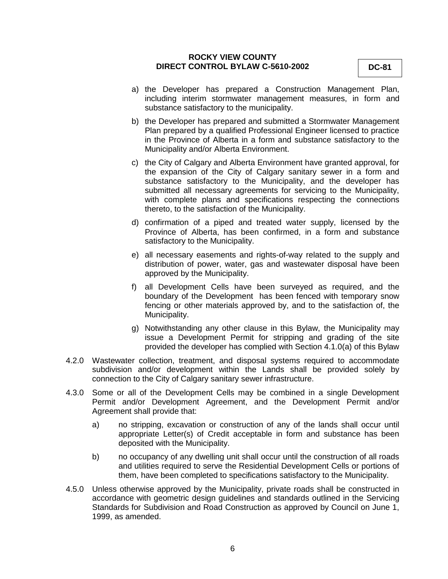- a) the Developer has prepared a Construction Management Plan, including interim stormwater management measures, in form and substance satisfactory to the municipality.
- b) the Developer has prepared and submitted a Stormwater Management Plan prepared by a qualified Professional Engineer licensed to practice in the Province of Alberta in a form and substance satisfactory to the Municipality and/or Alberta Environment.
- c) the City of Calgary and Alberta Environment have granted approval, for the expansion of the City of Calgary sanitary sewer in a form and substance satisfactory to the Municipality, and the developer has submitted all necessary agreements for servicing to the Municipality, with complete plans and specifications respecting the connections thereto, to the satisfaction of the Municipality.
- d) confirmation of a piped and treated water supply, licensed by the Province of Alberta, has been confirmed, in a form and substance satisfactory to the Municipality.
- e) all necessary easements and rights-of-way related to the supply and distribution of power, water, gas and wastewater disposal have been approved by the Municipality.
- f) all Development Cells have been surveyed as required, and the boundary of the Development has been fenced with temporary snow fencing or other materials approved by, and to the satisfaction of, the Municipality.
- g) Notwithstanding any other clause in this Bylaw, the Municipality may issue a Development Permit for stripping and grading of the site provided the developer has complied with Section 4.1.0(a) of this Bylaw
- 4.2.0 Wastewater collection, treatment, and disposal systems required to accommodate subdivision and/or development within the Lands shall be provided solely by connection to the City of Calgary sanitary sewer infrastructure.
- 4.3.0 Some or all of the Development Cells may be combined in a single Development Permit and/or Development Agreement, and the Development Permit and/or Agreement shall provide that:
	- a) no stripping, excavation or construction of any of the lands shall occur until appropriate Letter(s) of Credit acceptable in form and substance has been deposited with the Municipality.
	- b) no occupancy of any dwelling unit shall occur until the construction of all roads and utilities required to serve the Residential Development Cells or portions of them, have been completed to specifications satisfactory to the Municipality.
- 4.5.0 Unless otherwise approved by the Municipality, private roads shall be constructed in accordance with geometric design guidelines and standards outlined in the Servicing Standards for Subdivision and Road Construction as approved by Council on June 1, 1999, as amended.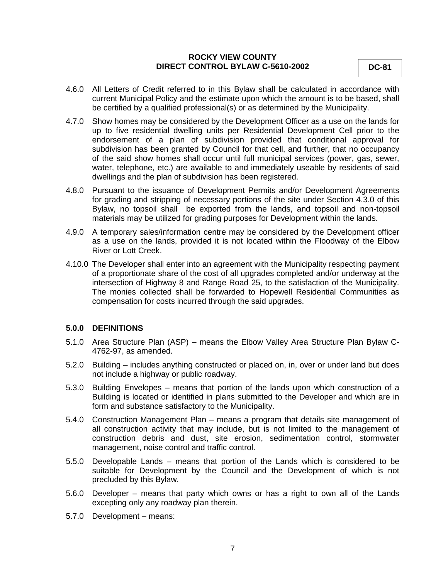- 4.6.0 All Letters of Credit referred to in this Bylaw shall be calculated in accordance with current Municipal Policy and the estimate upon which the amount is to be based, shall be certified by a qualified professional(s) or as determined by the Municipality.
- 4.7.0 Show homes may be considered by the Development Officer as a use on the lands for up to five residential dwelling units per Residential Development Cell prior to the endorsement of a plan of subdivision provided that conditional approval for subdivision has been granted by Council for that cell, and further, that no occupancy of the said show homes shall occur until full municipal services (power, gas, sewer, water, telephone, etc.) are available to and immediately useable by residents of said dwellings and the plan of subdivision has been registered.
- 4.8.0 Pursuant to the issuance of Development Permits and/or Development Agreements for grading and stripping of necessary portions of the site under Section 4.3.0 of this Bylaw, no topsoil shall be exported from the lands, and topsoil and non-topsoil materials may be utilized for grading purposes for Development within the lands.
- 4.9.0 A temporary sales/information centre may be considered by the Development officer as a use on the lands, provided it is not located within the Floodway of the Elbow River or Lott Creek.
- 4.10.0 The Developer shall enter into an agreement with the Municipality respecting payment of a proportionate share of the cost of all upgrades completed and/or underway at the intersection of Highway 8 and Range Road 25, to the satisfaction of the Municipality. The monies collected shall be forwarded to Hopewell Residential Communities as compensation for costs incurred through the said upgrades.

#### **5.0.0 DEFINITIONS**

- 5.1.0 Area Structure Plan (ASP) means the Elbow Valley Area Structure Plan Bylaw C-4762-97, as amended.
- 5.2.0 Building includes anything constructed or placed on, in, over or under land but does not include a highway or public roadway.
- 5.3.0 Building Envelopes means that portion of the lands upon which construction of a Building is located or identified in plans submitted to the Developer and which are in form and substance satisfactory to the Municipality.
- 5.4.0 Construction Management Plan means a program that details site management of all construction activity that may include, but is not limited to the management of construction debris and dust, site erosion, sedimentation control, stormwater management, noise control and traffic control.
- 5.5.0 Developable Lands means that portion of the Lands which is considered to be suitable for Development by the Council and the Development of which is not precluded by this Bylaw.
- 5.6.0 Developer means that party which owns or has a right to own all of the Lands excepting only any roadway plan therein.
- 5.7.0 Development means: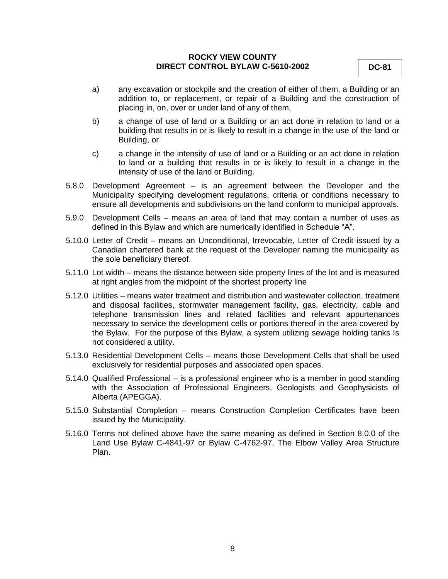**DC-81**

- a) any excavation or stockpile and the creation of either of them, a Building or an addition to, or replacement, or repair of a Building and the construction of placing in, on, over or under land of any of them,
- b) a change of use of land or a Building or an act done in relation to land or a building that results in or is likely to result in a change in the use of the land or Building, or
- c) a change in the intensity of use of land or a Building or an act done in relation to land or a building that results in or is likely to result in a change in the intensity of use of the land or Building.
- 5.8.0 Development Agreement is an agreement between the Developer and the Municipality specifying development regulations, criteria or conditions necessary to ensure all developments and subdivisions on the land conform to municipal approvals.
- 5.9.0 Development Cells means an area of land that may contain a number of uses as defined in this Bylaw and which are numerically identified in Schedule "A".
- 5.10.0 Letter of Credit means an Unconditional, Irrevocable, Letter of Credit issued by a Canadian chartered bank at the request of the Developer naming the municipality as the sole beneficiary thereof.
- 5.11.0 Lot width means the distance between side property lines of the lot and is measured at right angles from the midpoint of the shortest property line
- 5.12.0 Utilities means water treatment and distribution and wastewater collection, treatment and disposal facilities, stormwater management facility, gas, electricity, cable and telephone transmission lines and related facilities and relevant appurtenances necessary to service the development cells or portions thereof in the area covered by the Bylaw. For the purpose of this Bylaw, a system utilizing sewage holding tanks Is not considered a utility.
- 5.13.0 Residential Development Cells means those Development Cells that shall be used exclusively for residential purposes and associated open spaces.
- 5.14.0 Qualified Professional is a professional engineer who is a member in good standing with the Association of Professional Engineers, Geologists and Geophysicists of Alberta (APEGGA).
- 5.15.0 Substantial Completion means Construction Completion Certificates have been issued by the Municipality.
- 5.16.0 Terms not defined above have the same meaning as defined in Section 8.0.0 of the Land Use Bylaw C-4841-97 or Bylaw C-4762-97, The Elbow Valley Area Structure Plan.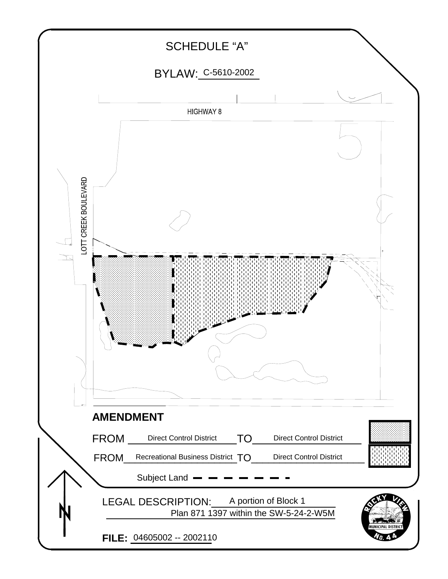